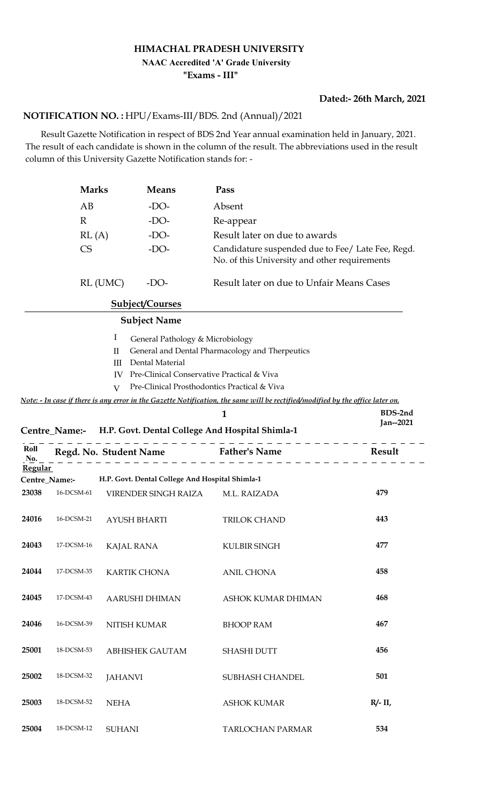## **HIMACHAL PRADESH UNIVERSITY**

## **NAAC Accredited 'A' Grade University**

**"Exams - III"**

## **Dated:- 26th March, 2021**

## HPU/Exams-III/BDS. 2nd (Annual)/2021 **NOTIFICATION NO. :**

 Result Gazette Notification in respect of BDS 2nd Year annual examination held in January, 2021. The result of each candidate is shown in the column of the result. The abbreviations used in the result column of this University Gazette Notification stands for: -

|                | <b>Marks</b>           |                                                | <b>Means</b>                                                                                      | Pass                                                                                                                                                                                                                              |               |
|----------------|------------------------|------------------------------------------------|---------------------------------------------------------------------------------------------------|-----------------------------------------------------------------------------------------------------------------------------------------------------------------------------------------------------------------------------------|---------------|
|                | AB                     |                                                | $-DO-$                                                                                            | Absent                                                                                                                                                                                                                            |               |
|                | $\mathbb{R}$           |                                                | $-DO-$                                                                                            | Re-appear                                                                                                                                                                                                                         |               |
|                | RL(A)                  |                                                | $-DO-$                                                                                            | Result later on due to awards                                                                                                                                                                                                     |               |
|                | <b>CS</b>              |                                                | $-DO-$                                                                                            | Candidature suspended due to Fee/ Late Fee, Regd.<br>No. of this University and other requirements                                                                                                                                |               |
|                |                        | RL (UMC)                                       | $-DO-$                                                                                            | Result later on due to Unfair Means Cases                                                                                                                                                                                         |               |
|                |                        |                                                | <b>Subject/Courses</b>                                                                            |                                                                                                                                                                                                                                   |               |
|                |                        |                                                | <b>Subject Name</b>                                                                               |                                                                                                                                                                                                                                   |               |
|                |                        | I<br>$\mathbf{I}$<br>III<br>IV<br>$\mathbf{V}$ | General Pathology & Microbiology<br>Dental Material<br>Pre-Clinical Conservative Practical & Viva | General and Dental Pharmacology and Therpeutics<br>Pre-Clinical Prosthodontics Practical & Viva<br>Note: - In case if there is any error in the Gazette Notification, the same will be rectified/modified by the office later on. |               |
|                |                        |                                                |                                                                                                   | 1                                                                                                                                                                                                                                 | BDS-2nd       |
|                |                        |                                                |                                                                                                   | Centre_Name:- H.P. Govt. Dental College And Hospital Shimla-1                                                                                                                                                                     | Jan--2021     |
| Roll<br>No.    | Regd. No. Student Name |                                                |                                                                                                   | <b>Father's Name</b>                                                                                                                                                                                                              | <b>Result</b> |
| <b>Regular</b> | Centre_Name:-          |                                                | H.P. Govt. Dental College And Hospital Shimla-1                                                   |                                                                                                                                                                                                                                   |               |
| 23038          | 16-DCSM-61             |                                                | VIRENDER SINGH RAIZA                                                                              | M.L. RAIZADA                                                                                                                                                                                                                      | 479           |
| 24016          | 16-DCSM-21             |                                                | AYUSH BHARTI                                                                                      | <b>TRILOK CHAND</b>                                                                                                                                                                                                               | 443           |
| 24043          | 17-DCSM-16             | <b>KAJAL RANA</b>                              |                                                                                                   | KULBIR SINGH                                                                                                                                                                                                                      | 477           |
| 24044          | 17-DCSM-35             |                                                | <b>KARTIK CHONA</b>                                                                               | <b>ANIL CHONA</b>                                                                                                                                                                                                                 | 458           |
| 24045          | 17-DCSM-43             |                                                | AARUSHI DHIMAN                                                                                    | ASHOK KUMAR DHIMAN                                                                                                                                                                                                                | 468           |
| 24046          | 16-DCSM-39             |                                                | <b>NITISH KUMAR</b>                                                                               | <b>BHOOP RAM</b>                                                                                                                                                                                                                  | 467           |
| 25001          | 18-DCSM-53             |                                                | <b>ABHISHEK GAUTAM</b>                                                                            | <b>SHASHI DUTT</b>                                                                                                                                                                                                                | 456           |
| 25002          | 18-DCSM-32             | <b>JAHANVI</b>                                 |                                                                                                   | SUBHASH CHANDEL                                                                                                                                                                                                                   | 501           |
| 25003          | 18-DCSM-52             | <b>NEHA</b>                                    |                                                                                                   | <b>ASHOK KUMAR</b>                                                                                                                                                                                                                | $R/- II$      |
| 25004          | 18-DCSM-12             | <b>SUHANI</b>                                  |                                                                                                   | TARLOCHAN PARMAR                                                                                                                                                                                                                  | 534           |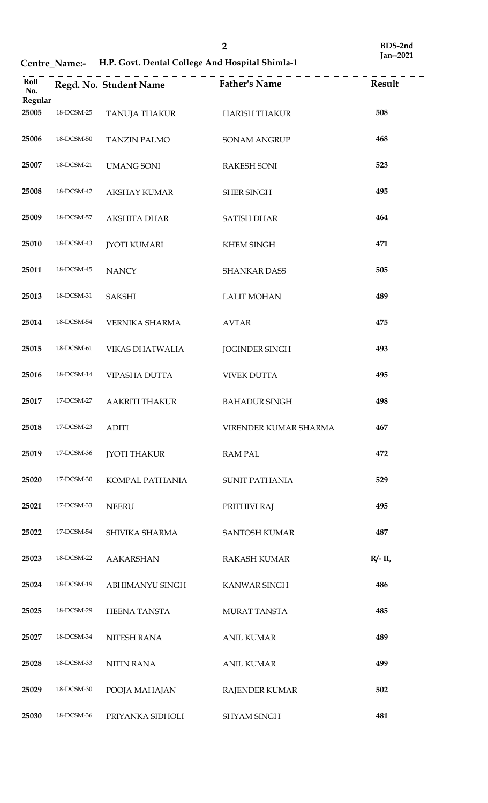**Centre\_Name:- H.P. Govt. Dental College And Hospital Shimla-1**

| Roll<br>No.    |            | Regd. No. Student Name Father's Name |                       | Result   |
|----------------|------------|--------------------------------------|-----------------------|----------|
| <b>Regular</b> |            |                                      |                       |          |
| 25005          | 18-DCSM-25 | TANUJA THAKUR                        | HARISH THAKUR         | 508      |
| 25006          | 18-DCSM-50 | <b>TANZIN PALMO</b>                  | <b>SONAM ANGRUP</b>   | 468      |
| 25007          | 18-DCSM-21 | <b>UMANG SONI</b>                    | <b>RAKESH SONI</b>    | 523      |
| 25008          | 18-DCSM-42 | <b>AKSHAY KUMAR</b>                  | <b>SHER SINGH</b>     | 495      |
| 25009          | 18-DCSM-57 | <b>AKSHITA DHAR</b>                  | <b>SATISH DHAR</b>    | 464      |
| 25010          | 18-DCSM-43 | <b>JYOTI KUMARI</b>                  | <b>KHEM SINGH</b>     | 471      |
| 25011          | 18-DCSM-45 | <b>NANCY</b>                         | SHANKAR DASS          | 505      |
| 25013          | 18-DCSM-31 | <b>SAKSHI</b>                        | <b>LALIT MOHAN</b>    | 489      |
| 25014          | 18-DCSM-54 | VERNIKA SHARMA                       | <b>AVTAR</b>          | 475      |
| 25015          | 18-DCSM-61 | VIKAS DHATWALIA                      | <b>JOGINDER SINGH</b> | 493      |
| 25016          | 18-DCSM-14 | VIPASHA DUTTA                        | <b>VIVEK DUTTA</b>    | 495      |
| 25017          | 17-DCSM-27 | AAKRITI THAKUR                       | <b>BAHADUR SINGH</b>  | 498      |
| 25018          | 17-DCSM-23 | <b>ADITI</b>                         | VIRENDER KUMAR SHARMA | 467      |
| 25019          | 17-DCSM-36 | <b>JYOTI THAKUR</b>                  | <b>RAM PAL</b>        | 472      |
| 25020          | 17-DCSM-30 | KOMPAL PATHANIA                      | SUNIT PATHANIA        | 529      |
| 25021          | 17-DCSM-33 | <b>NEERU</b>                         | PRITHIVI RAJ          | 495      |
| 25022          | 17-DCSM-54 | SHIVIKA SHARMA                       | <b>SANTOSH KUMAR</b>  | 487      |
| 25023          | 18-DCSM-22 | <b>AAKARSHAN</b>                     | <b>RAKASH KUMAR</b>   | $R/- II$ |
| 25024          | 18-DCSM-19 | ABHIMANYU SINGH                      | KANWAR SINGH          | 486      |
| 25025          | 18-DCSM-29 | <b>HEENA TANSTA</b>                  | <b>MURAT TANSTA</b>   | 485      |
| 25027          | 18-DCSM-34 | NITESH RANA                          | <b>ANIL KUMAR</b>     | 489      |
| 25028          | 18-DCSM-33 | NITIN RANA                           | <b>ANIL KUMAR</b>     | 499      |
| 25029          | 18-DCSM-30 | POOJA MAHAJAN                        | RAJENDER KUMAR        | 502      |
| 25030          | 18-DCSM-36 | PRIYANKA SIDHOLI                     | SHYAM SINGH           | 481      |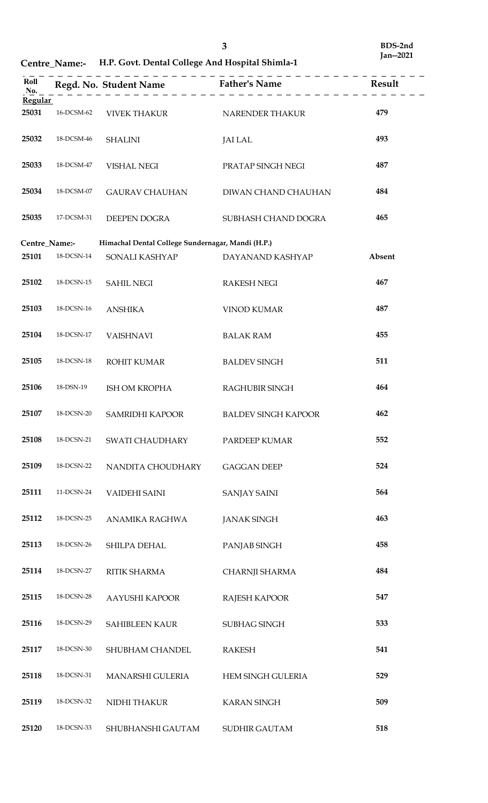**Centre\_Name:- H.P. Govt. Dental College And Hospital Shimla-1**

| Roll<br>No.    |            | --------------------                              |                            |        |
|----------------|------------|---------------------------------------------------|----------------------------|--------|
| <b>Regular</b> |            |                                                   |                            |        |
| 25031          | 16-DCSM-62 | <b>VIVEK THAKUR</b>                               | NARENDER THAKUR            | 479    |
| 25032          | 18-DCSM-46 | <b>SHALINI</b>                                    | <b>JAI LAL</b>             | 493    |
| 25033          | 18-DCSM-47 | VISHAL NEGI                                       | PRATAP SINGH NEGI          | 487    |
| 25034          | 18-DCSM-07 | GAURAV CHAUHAN                                    | DIWAN CHAND CHAUHAN        | 484    |
| 25035          | 17-DCSM-31 | DEEPEN DOGRA                                      | SUBHASH CHAND DOGRA        | 465    |
|                |            |                                                   |                            |        |
| Centre_Name:-  |            | Himachal Dental College Sundernagar, Mandi (H.P.) |                            |        |
| 25101          | 18-DCSN-14 | SONALI KASHYAP                                    | DAYANAND KASHYAP           | Absent |
| 25102          | 18-DCSN-15 | <b>SAHIL NEGI</b>                                 | <b>RAKESH NEGI</b>         | 467    |
| 25103          | 18-DCSN-16 | <b>ANSHIKA</b>                                    | <b>VINOD KUMAR</b>         | 487    |
| 25104          | 18-DCSN-17 | <b>VAISHNAVI</b>                                  | <b>BALAK RAM</b>           | 455    |
| 25105          | 18-DCSN-18 | ROHIT KUMAR                                       | <b>BALDEV SINGH</b>        | 511    |
| 25106          | 18-DSN-19  | ISH OM KROPHA                                     | RAGHUBIR SINGH             | 464    |
| 25107          | 18-DCSN-20 | SAMRIDHI KAPOOR                                   | <b>BALDEV SINGH KAPOOR</b> | 462    |
| 25108          | 18-DCSN-21 | SWATI CHAUDHARY                                   | PARDEEP KUMAR              | 552    |
| 25109          | 18-DCSN-22 | NANDITA CHOUDHARY                                 | <b>GAGGAN DEEP</b>         | 524    |
| 25111          | 11-DCSN-24 | <b>VAIDEHI SAINI</b>                              | <b>SANJAY SAINI</b>        | 564    |
| 25112          | 18-DCSN-25 | ANAMIKA RAGHWA                                    | <b>JANAK SINGH</b>         | 463    |
| 25113          | 18-DCSN-26 | SHILPA DEHAL                                      | PANJAB SINGH               | 458    |
| 25114          | 18-DCSN-27 | RITIK SHARMA                                      | CHARNJI SHARMA             | 484    |
| 25115          | 18-DCSN-28 | <b>AAYUSHI KAPOOR</b>                             | RAJESH KAPOOR              | 547    |
| 25116          | 18-DCSN-29 | <b>SAHIBLEEN KAUR</b>                             | SUBHAG SINGH               | 533    |
| 25117          | 18-DCSN-30 | SHUBHAM CHANDEL                                   | <b>RAKESH</b>              | 541    |
| 25118          | 18-DCSN-31 | MANARSHI GULERIA                                  | HEM SINGH GULERIA          | 529    |
| 25119          | 18-DCSN-32 | NIDHI THAKUR                                      | <b>KARAN SINGH</b>         | 509    |
| 25120          | 18-DCSN-33 | SHUBHANSHI GAUTAM                                 | <b>SUDHIR GAUTAM</b>       | 518    |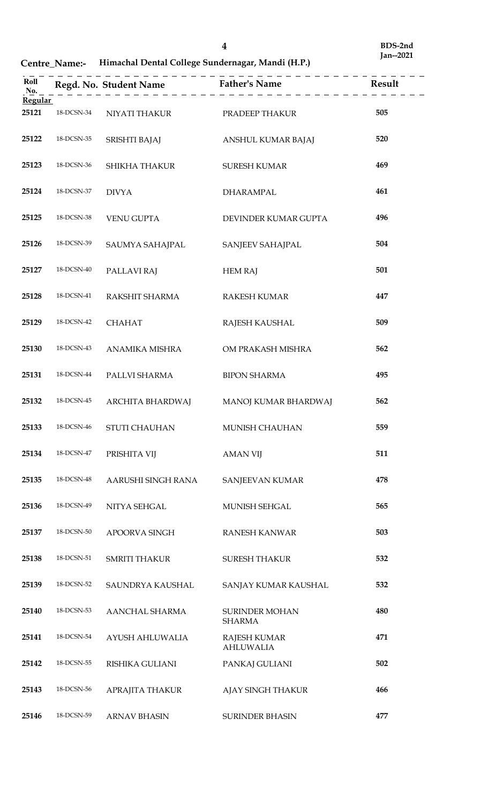**Centre\_Name:- Himachal Dental College Sundernagar, Mandi (H.P.)**

| Roll<br>No.             |            | $\sim$ $\sim$ $\sim$ $\sim$ | . _ _ _ _ _ _                           |     |
|-------------------------|------------|-----------------------------|-----------------------------------------|-----|
| <b>Regular</b><br>25121 | 18-DCSN-34 | NIYATI THAKUR               | PRADEEP THAKUR                          | 505 |
|                         |            |                             |                                         |     |
| 25122                   | 18-DCSN-35 | SRISHTI BAJAJ               | ANSHUL KUMAR BAJAJ                      | 520 |
| 25123                   | 18-DCSN-36 | SHIKHA THAKUR               | <b>SURESH KUMAR</b>                     | 469 |
| 25124                   | 18-DCSN-37 | <b>DIVYA</b>                | DHARAMPAL                               | 461 |
| 25125                   | 18-DCSN-38 | <b>VENU GUPTA</b>           | DEVINDER KUMAR GUPTA                    | 496 |
| 25126                   | 18-DCSN-39 | SAUMYA SAHAJPAL             | SANJEEV SAHAJPAL                        | 504 |
| 25127                   | 18-DCSN-40 | PALLAVI RAJ                 | <b>HEM RAJ</b>                          | 501 |
| 25128                   | 18-DCSN-41 | RAKSHIT SHARMA              | <b>RAKESH KUMAR</b>                     | 447 |
| 25129                   | 18-DCSN-42 | <b>CHAHAT</b>               | RAJESH KAUSHAL                          | 509 |
| 25130                   | 18-DCSN-43 | ANAMIKA MISHRA              | OM PRAKASH MISHRA                       | 562 |
| 25131                   | 18-DCSN-44 | PALLVI SHARMA               | <b>BIPON SHARMA</b>                     | 495 |
| 25132                   | 18-DCSN-45 | ARCHITA BHARDWAJ            | MANOJ KUMAR BHARDWAJ                    | 562 |
| 25133                   | 18-DCSN-46 | STUTI CHAUHAN               | MUNISH CHAUHAN                          | 559 |
| 25134                   | 18-DCSN-47 | PRISHITA VIJ                | <b>AMAN VIJ</b>                         | 511 |
| 25135                   | 18-DCSN-48 | AARUSHI SINGH RANA          | SANJEEVAN KUMAR                         | 478 |
| 25136                   | 18-DCSN-49 | NITYA SEHGAL                | MUNISH SEHGAL                           | 565 |
| 25137                   | 18-DCSN-50 | APOORVA SINGH               | <b>RANESH KANWAR</b>                    | 503 |
| 25138                   | 18-DCSN-51 | <b>SMRITI THAKUR</b>        | <b>SURESH THAKUR</b>                    | 532 |
| 25139                   | 18-DCSN-52 | SAUNDRYA KAUSHAL            | SANJAY KUMAR KAUSHAL                    | 532 |
| 25140                   | 18-DCSN-53 | AANCHAL SHARMA              | <b>SURINDER MOHAN</b><br><b>SHARMA</b>  | 480 |
| 25141                   | 18-DCSN-54 | AYUSH AHLUWALIA             | <b>RAJESH KUMAR</b><br><b>AHLUWALIA</b> | 471 |
| 25142                   | 18-DCSN-55 | RISHIKA GULIANI             | PANKAJ GULIANI                          | 502 |
| 25143                   | 18-DCSN-56 | APRAJITA THAKUR             | AJAY SINGH THAKUR                       | 466 |
| 25146                   | 18-DCSN-59 | <b>ARNAV BHASIN</b>         | <b>SURINDER BHASIN</b>                  | 477 |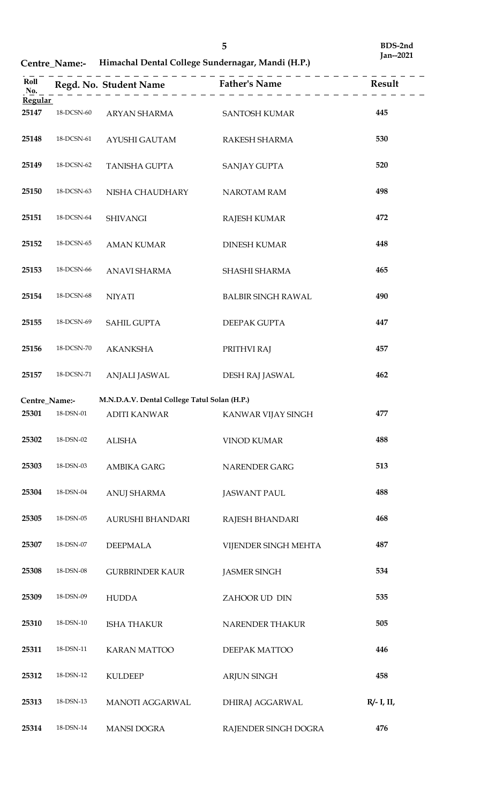**Centre\_Name:- Himachal Dental College Sundernagar, Mandi (H.P.)**

| Roll<br>No.<br><b>Regular</b> |                   | Regd. No. Student Name                       | <b>Father's Name</b>      | Result        |
|-------------------------------|-------------------|----------------------------------------------|---------------------------|---------------|
| 25147                         | 18-DCSN-60        | ARYAN SHARMA                                 | <b>SANTOSH KUMAR</b>      | 445           |
|                               |                   |                                              |                           |               |
| 25148                         | 18-DCSN-61        | AYUSHI GAUTAM                                | RAKESH SHARMA             | 530           |
| 25149                         | 18-DCSN-62        | TANISHA GUPTA                                | <b>SANJAY GUPTA</b>       | 520           |
| 25150                         | 18-DCSN-63        | NISHA CHAUDHARY                              | NAROTAM RAM               | 498           |
| 25151                         | 18-DCSN-64        | <b>SHIVANGI</b>                              | <b>RAJESH KUMAR</b>       | 472           |
| 25152                         | 18-DCSN-65        | <b>AMAN KUMAR</b>                            | <b>DINESH KUMAR</b>       | 448           |
| 25153                         | 18-DCSN-66        | <b>ANAVI SHARMA</b>                          | SHASHI SHARMA             | 465           |
| 25154                         | 18-DCSN-68        | <b>NIYATI</b>                                | <b>BALBIR SINGH RAWAL</b> | 490           |
| 25155                         | 18-DCSN-69        | <b>SAHIL GUPTA</b>                           | DEEPAK GUPTA              | 447           |
| 25156                         | 18-DCSN-70        | <b>AKANKSHA</b>                              | PRITHVI RAJ               | 457           |
| 25157                         | 18-DCSN-71        | ANJALI JASWAL                                | DESH RAJ JASWAL           | 462           |
| Centre_Name:-                 |                   | M.N.D.A.V. Dental College Tatul Solan (H.P.) |                           |               |
| 25301                         | 18-DSN-01         | <b>ADITI KANWAR</b>                          | KANWAR VIJAY SINGH        | 477           |
| 25302                         | 18-DSN-02         | <b>ALISHA</b>                                | <b>VINOD KUMAR</b>        | 488           |
| 25303                         | 18-DSN-03         | <b>AMBIKA GARG</b>                           | NARENDER GARG             | 513           |
| 25304                         | 18-DSN-04         | <b>ANUJ SHARMA</b>                           | <b>JASWANT PAUL</b>       | 488           |
| 25305                         | $18$ -DSN-05 $\,$ | AURUSHI BHANDARI                             | RAJESH BHANDARI           | 468           |
| 25307                         | 18-DSN-07         | <b>DEEPMALA</b>                              | VIJENDER SINGH MEHTA      | 487           |
| 25308                         | 18-DSN-08         | <b>GURBRINDER KAUR</b>                       | <b>JASMER SINGH</b>       | 534           |
| 25309                         | 18-DSN-09         | <b>HUDDA</b>                                 | ZAHOOR UD DIN             | 535           |
| 25310                         | 18-DSN-10         | <b>ISHA THAKUR</b>                           | NARENDER THAKUR           | 505           |
| 25311                         | 18-DSN-11         | <b>KARAN MATTOO</b>                          | DEEPAK MATTOO             | 446           |
| 25312                         | 18-DSN-12         | <b>KULDEEP</b>                               | <b>ARJUN SINGH</b>        | 458           |
| 25313                         | 18-DSN-13         | MANOTI AGGARWAL                              | DHIRAJ AGGARWAL           | $R/- I$ , II, |
| 25314                         | $18$ -DSN- $14$   | <b>MANSI DOGRA</b>                           | RAJENDER SINGH DOGRA      | 476           |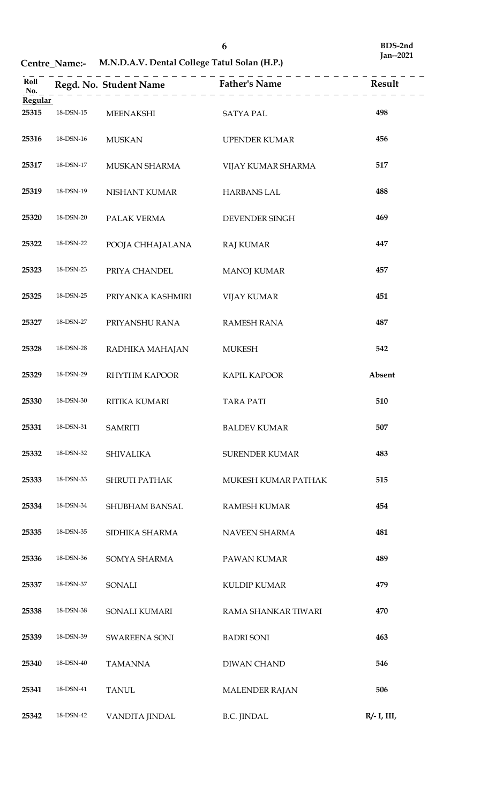|                |                 |                      | Roll<br>Regd. No. Student Name<br>Father's Name<br>$\underline{R}$ Father's Name<br>$\underline{R}$ Result |                |
|----------------|-----------------|----------------------|------------------------------------------------------------------------------------------------------------|----------------|
| <b>Regular</b> |                 |                      |                                                                                                            |                |
| 25315          | $18$ -DSN- $15$ | <b>MEENAKSHI</b>     | <b>SATYA PAL</b>                                                                                           | 498            |
| 25316          | 18-DSN-16       | <b>MUSKAN</b>        | UPENDER KUMAR                                                                                              | 456            |
| 25317          | 18-DSN-17       | MUSKAN SHARMA        | VIJAY KUMAR SHARMA                                                                                         | 517            |
| 25319          | 18-DSN-19       | NISHANT KUMAR        | <b>HARBANS LAL</b>                                                                                         | 488            |
| 25320          | 18-DSN-20       | PALAK VERMA          | DEVENDER SINGH                                                                                             | 469            |
| 25322          | 18-DSN-22       | POOJA CHHAJALANA     | <b>RAJ KUMAR</b>                                                                                           | 447            |
| 25323          | 18-DSN-23       | PRIYA CHANDEL        | <b>MANOJ KUMAR</b>                                                                                         | 457            |
| 25325          | 18-DSN-25       | PRIYANKA KASHMIRI    | <b>VIJAY KUMAR</b>                                                                                         | 451            |
| 25327          | 18-DSN-27       | PRIYANSHU RANA       | <b>RAMESH RANA</b>                                                                                         | 487            |
| 25328          | 18-DSN-28       | RADHIKA MAHAJAN      | <b>MUKESH</b>                                                                                              | 542            |
| 25329          | 18-DSN-29       | RHYTHM KAPOOR        | KAPIL KAPOOR                                                                                               | Absent         |
| 25330          | 18-DSN-30       | RITIKA KUMARI        | <b>TARA PATI</b>                                                                                           | 510            |
| 25331          | 18-DSN-31       | <b>SAMRITI</b>       | <b>BALDEV KUMAR</b>                                                                                        | 507            |
| 25332          | 18-DSN-32       | <b>SHIVALIKA</b>     | <b>SURENDER KUMAR</b>                                                                                      | 483            |
| 25333          | 18-DSN-33       | <b>SHRUTI PATHAK</b> | MUKESH KUMAR PATHAK                                                                                        | 515            |
| 25334          | 18-DSN-34       | SHUBHAM BANSAL       | <b>RAMESH KUMAR</b>                                                                                        | 454            |
| 25335          | 18-DSN-35       | SIDHIKA SHARMA       | NAVEEN SHARMA                                                                                              | 481            |
| 25336          | 18-DSN-36       | SOMYA SHARMA         | PAWAN KUMAR                                                                                                | 489            |
| 25337          | 18-DSN-37       | SONALI               | <b>KULDIP KUMAR</b>                                                                                        | 479            |
| 25338          | 18-DSN-38       | SONALI KUMARI        | RAMA SHANKAR TIWARI                                                                                        | 470            |
| 25339          | 18-DSN-39       | SWAREENA SONI        | <b>BADRI SONI</b>                                                                                          | 463            |
| 25340          | 18-DSN-40       | <b>TAMANNA</b>       | <b>DIWAN CHAND</b>                                                                                         | 546            |
| 25341          | 18-DSN-41       | <b>TANUL</b>         | <b>MALENDER RAJAN</b>                                                                                      | 506            |
| 25342          | 18-DSN-42       | VANDITA JINDAL       | <b>B.C. JINDAL</b>                                                                                         | $R/- I$ , III, |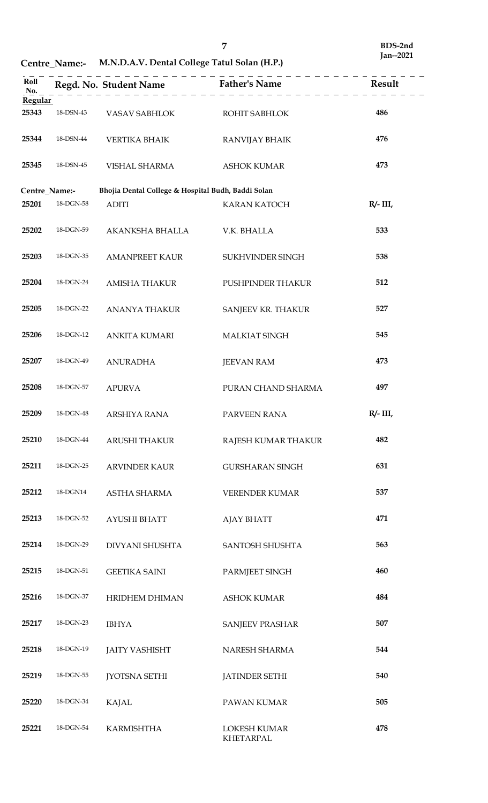| Roll<br>No. |               |                                                    |                                         |             |
|-------------|---------------|----------------------------------------------------|-----------------------------------------|-------------|
| Regular     |               |                                                    |                                         |             |
| 25343       | 18-DSN-43     | VASAV SABHLOK                                      | ROHIT SABHLOK                           | 486         |
| 25344       | 18-DSN-44     | VERTIKA BHAIK                                      | RANVIJAY BHAIK                          | 476         |
| 25345       | 18-DSN-45     | VISHAL SHARMA                                      | <b>ASHOK KUMAR</b>                      | 473         |
|             |               |                                                    |                                         |             |
|             | Centre_Name:- | Bhojia Dental College & Hospital Budh, Baddi Solan |                                         |             |
| 25201       | 18-DGN-58     | <b>ADITI</b>                                       | <b>KARAN KATOCH</b>                     | $R/- III$ , |
| 25202       | 18-DGN-59     | AKANKSHA BHALLA                                    | V.K. BHALLA                             | 533         |
| 25203       | 18-DGN-35     | <b>AMANPREET KAUR</b>                              | SUKHVINDER SINGH                        | 538         |
| 25204       | 18-DGN-24     | <b>AMISHA THAKUR</b>                               | PUSHPINDER THAKUR                       | 512         |
| 25205       | 18-DGN-22     | ANANYA THAKUR                                      | SANJEEV KR. THAKUR                      | 527         |
| 25206       | 18-DGN-12     | ANKITA KUMARI                                      | <b>MALKIAT SINGH</b>                    | 545         |
| 25207       | 18-DGN-49     | <b>ANURADHA</b>                                    | <b>JEEVAN RAM</b>                       | 473         |
| 25208       | 18-DGN-57     | <b>APURVA</b>                                      | PURAN CHAND SHARMA                      | 497         |
| 25209       | 18-DGN-48     | ARSHIYA RANA                                       | PARVEEN RANA                            | $R/- III$ , |
| 25210       | 18-DGN-44     | ARUSHI THAKUR                                      | RAJESH KUMAR THAKUR                     | 482         |
| 25211       | 18-DGN-25     | <b>ARVINDER KAUR</b>                               | <b>GURSHARAN SINGH</b>                  | 631         |
| 25212       | 18-DGN14      | ASTHA SHARMA                                       | <b>VERENDER KUMAR</b>                   | 537         |
| 25213       | 18-DGN-52     | <b>AYUSHI BHATT</b>                                | <b>AJAY BHATT</b>                       | 471         |
| 25214       | 18-DGN-29     | DIVYANI SHUSHTA                                    | <b>SANTOSH SHUSHTA</b>                  | 563         |
| 25215       | 18-DGN-51     | <b>GEETIKA SAINI</b>                               | PARMJEET SINGH                          | 460         |
| 25216       | 18-DGN-37     | HRIDHEM DHIMAN                                     | <b>ASHOK KUMAR</b>                      | 484         |
| 25217       | 18-DGN-23     | <b>IBHYA</b>                                       | <b>SANJEEV PRASHAR</b>                  | 507         |
| 25218       | 18-DGN-19     | <b>JAITY VASHISHT</b>                              | NARESH SHARMA                           | 544         |
| 25219       | 18-DGN-55     | <b>JYOTSNA SETHI</b>                               | <b>JATINDER SETHI</b>                   | 540         |
| 25220       | 18-DGN-34     | <b>KAJAL</b>                                       | PAWAN KUMAR                             | 505         |
| 25221       | 18-DGN-54     | <b>KARMISHTHA</b>                                  | <b>LOKESH KUMAR</b><br><b>KHETARPAL</b> | 478         |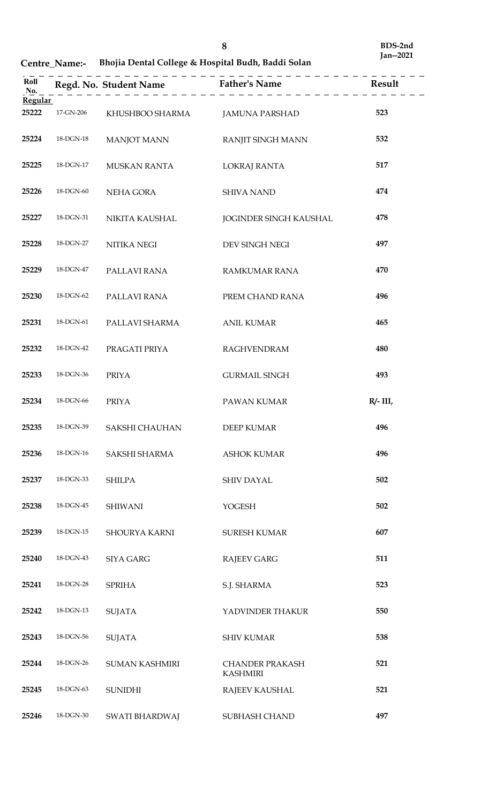**Centre\_Name:- Bhojia Dental College & Hospital Budh, Baddi Solan**

| Roll<br>No.    |           |                           | Regd. No. Student Name<br>ather's Name<br>ather's Name<br>ather's Name<br>and $\frac{1}{2}$ | Result      |
|----------------|-----------|---------------------------|---------------------------------------------------------------------------------------------|-------------|
| <b>Regular</b> |           |                           |                                                                                             |             |
| 25222          |           | 17-GN-206 KHUSHBOO SHARMA | JAMUNA PARSHAD                                                                              | 523         |
| 25224          | 18-DGN-18 | MANJOT MANN               | RANJIT SINGH MANN                                                                           | 532         |
| 25225          | 18-DGN-17 | MUSKAN RANTA              | LOKRAJ RANTA                                                                                | 517         |
| 25226          | 18-DGN-60 | NEHA GORA                 | <b>SHIVA NAND</b>                                                                           | 474         |
| 25227          | 18-DGN-31 | NIKITA KAUSHAL            | JOGINDER SINGH KAUSHAL                                                                      | 478         |
| 25228          | 18-DGN-27 | NITIKA NEGI               | DEV SINGH NEGI                                                                              | 497         |
| 25229          | 18-DGN-47 | PALLAVI RANA              | <b>RAMKUMAR RANA</b>                                                                        | 470         |
| 25230          | 18-DGN-62 | PALLAVI RANA              | PREM CHAND RANA                                                                             | 496         |
| 25231          | 18-DGN-61 | PALLAVI SHARMA            | <b>ANIL KUMAR</b>                                                                           | 465         |
| 25232          | 18-DGN-42 | PRAGATI PRIYA             | <b>RAGHVENDRAM</b>                                                                          | 480         |
| 25233          | 18-DGN-36 | <b>PRIYA</b>              | <b>GURMAIL SINGH</b>                                                                        | 493         |
| 25234          | 18-DGN-66 | <b>PRIYA</b>              | PAWAN KUMAR                                                                                 | $R/- III$ , |
| 25235          | 18-DGN-39 | SAKSHI CHAUHAN            | DEEP KUMAR                                                                                  | 496         |
| 25236          | 18-DGN-16 | SAKSHI SHARMA             | <b>ASHOK KUMAR</b>                                                                          | 496         |
| 25237          | 18-DGN-33 | <b>SHILPA</b>             | <b>SHIV DAYAL</b>                                                                           | 502         |
| 25238          | 18-DGN-45 | <b>SHIWANI</b>            | <b>YOGESH</b>                                                                               | 502         |
| 25239          | 18-DGN-15 | <b>SHOURYA KARNI</b>      | <b>SURESH KUMAR</b>                                                                         | 607         |
| 25240          | 18-DGN-43 | <b>SIYA GARG</b>          | <b>RAJEEV GARG</b>                                                                          | 511         |
| 25241          | 18-DGN-28 | <b>SPRIHA</b>             | S.J. SHARMA                                                                                 | 523         |
| 25242          | 18-DGN-13 | <b>SUJATA</b>             | YADVINDER THAKUR                                                                            | 550         |
| 25243          | 18-DGN-56 | <b>SUJATA</b>             | <b>SHIV KUMAR</b>                                                                           | 538         |
| 25244          | 18-DGN-26 | <b>SUMAN KASHMIRI</b>     | <b>CHANDER PRAKASH</b><br><b>KASHMIRI</b>                                                   | 521         |
| 25245          | 18-DGN-63 | <b>SUNIDHI</b>            | RAJEEV KAUSHAL                                                                              | 521         |
| 25246          | 18-DGN-30 | SWATI BHARDWAJ            | SUBHASH CHAND                                                                               | 497         |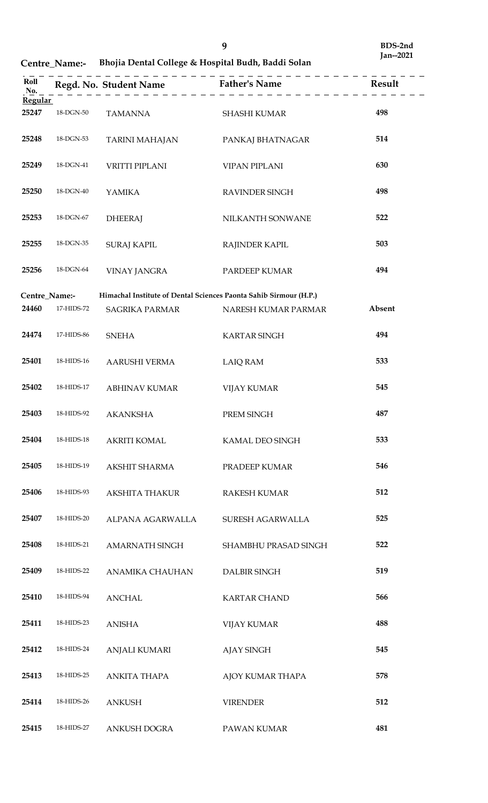| Roll<br>No.    |                   |                       | Regd. No. Student Name<br>$\begin{array}{c} \text{Rend.}$ Result<br>$\begin{array}{c} \text{Rend.}$ |        |
|----------------|-------------------|-----------------------|-----------------------------------------------------------------------------------------------------|--------|
| <b>Regular</b> |                   |                       |                                                                                                     |        |
| 25247          | 18-DGN-50         | <b>TAMANNA</b>        | <b>SHASHI KUMAR</b>                                                                                 | 498    |
| 25248          | $18$ -DGN-53 $\,$ | <b>TARINI MAHAJAN</b> | PANKAJ BHATNAGAR                                                                                    | 514    |
| 25249          | 18-DGN-41         | VRITTI PIPLANI        | <b>VIPAN PIPLANI</b>                                                                                | 630    |
| 25250          | 18-DGN-40         | <b>YAMIKA</b>         | RAVINDER SINGH                                                                                      | 498    |
| 25253          | 18-DGN-67         | <b>DHEERAJ</b>        | NILKANTH SONWANE                                                                                    | 522    |
| 25255          | 18-DGN-35         | <b>SURAJ KAPIL</b>    | <b>RAJINDER KAPIL</b>                                                                               | 503    |
| 25256          | 18-DGN-64         | VINAY JANGRA          | PARDEEP KUMAR                                                                                       | 494    |
|                |                   |                       |                                                                                                     |        |
| Centre_Name:-  |                   |                       | Himachal Institute of Dental Sciences Paonta Sahib Sirmour (H.P.)                                   |        |
| 24460          | 17-HIDS-72        | SAGRIKA PARMAR        | NARESH KUMAR PARMAR                                                                                 | Absent |
| 24474          | 17-HIDS-86        | <b>SNEHA</b>          | <b>KARTAR SINGH</b>                                                                                 | 494    |
| 25401          | 18-HIDS-16        | AARUSHI VERMA         | <b>LAIQ RAM</b>                                                                                     | 533    |
| 25402          | 18-HIDS-17        | <b>ABHINAV KUMAR</b>  | <b>VIJAY KUMAR</b>                                                                                  | 545    |
| 25403          | 18-HIDS-92        | <b>AKANKSHA</b>       | PREM SINGH                                                                                          | 487    |
| 25404          | 18-HIDS-18        | <b>AKRITI KOMAL</b>   | KAMAL DEO SINGH                                                                                     | 533    |
| 25405          | 18-HIDS-19        | AKSHIT SHARMA         | PRADEEP KUMAR                                                                                       | 546    |
| 25406          | 18-HIDS-93        | AKSHITA THAKUR        | RAKESH KUMAR                                                                                        | 512    |
| 25407          | 18-HIDS-20        | ALPANA AGARWALLA      | SURESH AGARWALLA                                                                                    | 525    |
| 25408          | 18-HIDS-21        | AMARNATH SINGH        | SHAMBHU PRASAD SINGH                                                                                | 522    |
| 25409          | 18-HIDS-22        | ANAMIKA CHAUHAN       | DALBIR SINGH                                                                                        | 519    |
| 25410          | 18-HIDS-94        | <b>ANCHAL</b>         | <b>KARTAR CHAND</b>                                                                                 | 566    |
| 25411          | 18-HIDS-23        | <b>ANISHA</b>         | <b>VIJAY KUMAR</b>                                                                                  | 488    |
| 25412          | 18-HIDS-24        | <b>ANJALI KUMARI</b>  | <b>AJAY SINGH</b>                                                                                   | 545    |
| 25413          | 18-HIDS-25        | <b>ANKITA THAPA</b>   | AJOY KUMAR THAPA                                                                                    | 578    |
| 25414          | 18-HIDS-26        | <b>ANKUSH</b>         | <b>VIRENDER</b>                                                                                     | 512    |
| 25415          | 18-HIDS-27        | ANKUSH DOGRA          | PAWAN KUMAR                                                                                         | 481    |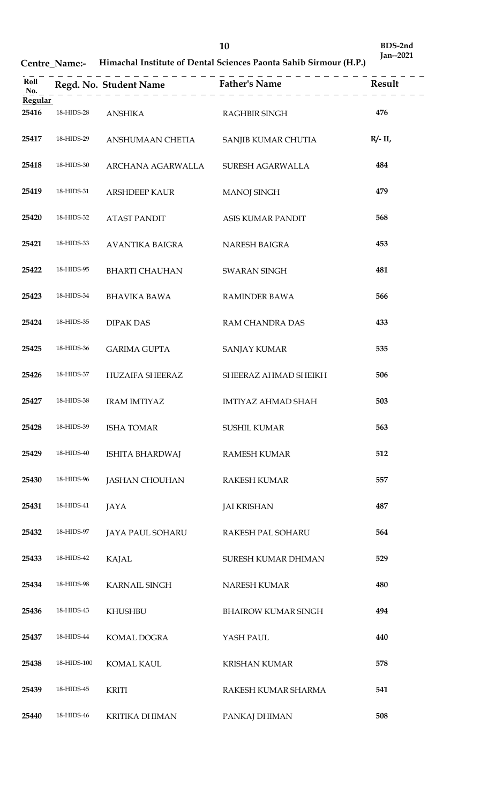**BDS-2nd Jan--2021**

| Roll<br>No.<br><b>Regular</b> |             |                         | <b>Example 2</b><br>Regd. No. Student Name<br>$\begin{array}{ccc}\n- & - & - & - & - \\ \hline\nR & - & - & - & - & - \\ \end{array}$ | Result     |
|-------------------------------|-------------|-------------------------|---------------------------------------------------------------------------------------------------------------------------------------|------------|
| 25416                         | 18-HIDS-28  | <b>ANSHIKA</b>          | RAGHBIR SINGH                                                                                                                         | 476        |
| 25417                         | 18-HIDS-29  | ANSHUMAAN CHETIA        | SANJIB KUMAR CHUTIA                                                                                                                   | $R/- II$ , |
| 25418                         | 18-HIDS-30  | ARCHANA AGARWALLA       | SURESH AGARWALLA                                                                                                                      | 484        |
| 25419                         | 18-HIDS-31  | <b>ARSHDEEP KAUR</b>    | <b>MANOJ SINGH</b>                                                                                                                    | 479        |
| 25420                         | 18-HIDS-32  | <b>ATAST PANDIT</b>     | ASIS KUMAR PANDIT                                                                                                                     | 568        |
| 25421                         | 18-HIDS-33  | AVANTIKA BAIGRA         | <b>NARESH BAIGRA</b>                                                                                                                  | 453        |
| 25422                         | 18-HIDS-95  | <b>BHARTI CHAUHAN</b>   | <b>SWARAN SINGH</b>                                                                                                                   | 481        |
| 25423                         | 18-HIDS-34  | <b>BHAVIKA BAWA</b>     | <b>RAMINDER BAWA</b>                                                                                                                  | 566        |
| 25424                         | 18-HIDS-35  | <b>DIPAK DAS</b>        | RAM CHANDRA DAS                                                                                                                       | 433        |
| 25425                         | 18-HIDS-36  | <b>GARIMA GUPTA</b>     | <b>SANJAY KUMAR</b>                                                                                                                   | 535        |
| 25426                         | 18-HIDS-37  | HUZAIFA SHEERAZ         | SHEERAZ AHMAD SHEIKH                                                                                                                  | 506        |
| 25427                         | 18-HIDS-38  | <b>IRAM IMTIYAZ</b>     | IMTIYAZ AHMAD SHAH                                                                                                                    | 503        |
| 25428                         | 18-HIDS-39  | <b>ISHA TOMAR</b>       | <b>SUSHIL KUMAR</b>                                                                                                                   | 563        |
| 25429                         | 18-HIDS-40  | ISHITA BHARDWAJ         | <b>RAMESH KUMAR</b>                                                                                                                   | 512        |
| 25430                         | 18-HIDS-96  | <b>JASHAN CHOUHAN</b>   | <b>RAKESH KUMAR</b>                                                                                                                   | 557        |
| 25431                         | 18-HIDS-41  | JAYA                    | <b>JAI KRISHAN</b>                                                                                                                    | 487        |
| 25432                         | 18-HIDS-97  | <b>JAYA PAUL SOHARU</b> | RAKESH PAL SOHARU                                                                                                                     | 564        |
| 25433                         | 18-HIDS-42  | <b>KAJAL</b>            | SURESH KUMAR DHIMAN                                                                                                                   | 529        |
| 25434                         | 18-HIDS-98  | <b>KARNAIL SINGH</b>    | <b>NARESH KUMAR</b>                                                                                                                   | 480        |
| 25436                         | 18-HIDS-43  | <b>KHUSHBU</b>          | <b>BHAIROW KUMAR SINGH</b>                                                                                                            | 494        |
| 25437                         | 18-HIDS-44  | <b>KOMAL DOGRA</b>      | YASH PAUL                                                                                                                             | 440        |
| 25438                         | 18-HIDS-100 | <b>KOMAL KAUL</b>       | <b>KRISHAN KUMAR</b>                                                                                                                  | 578        |
| 25439                         | 18-HIDS-45  | <b>KRITI</b>            | RAKESH KUMAR SHARMA                                                                                                                   | 541        |
| 25440                         | 18-HIDS-46  | <b>KRITIKA DHIMAN</b>   | PANKAJ DHIMAN                                                                                                                         | 508        |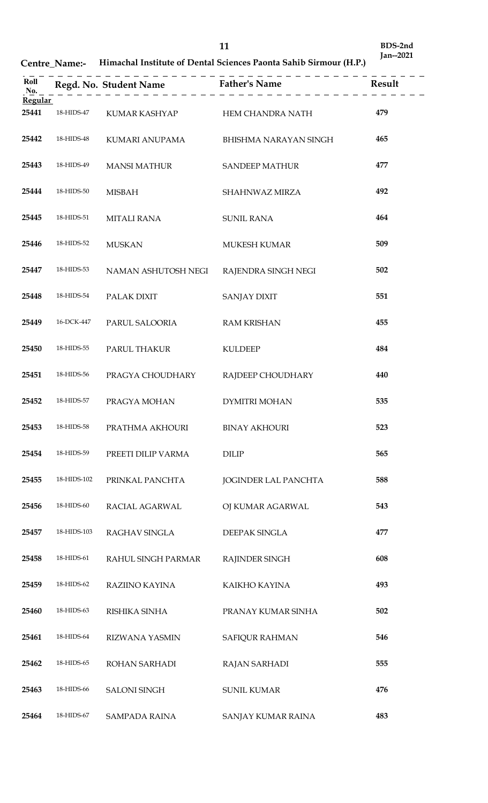**BDS-2nd Jan--2021**

| Roll<br>No.             |             |                                |                             |     |
|-------------------------|-------------|--------------------------------|-----------------------------|-----|
| <b>Regular</b><br>25441 | 18-HIDS-47  |                                |                             | 479 |
|                         |             | KUMAR KASHYAP HEM CHANDRA NATH |                             |     |
| 25442                   | 18-HIDS-48  | KUMARI ANUPAMA                 | BHISHMA NARAYAN SINGH       | 465 |
| 25443                   | 18-HIDS-49  | <b>MANSI MATHUR</b>            | <b>SANDEEP MATHUR</b>       | 477 |
| 25444                   | 18-HIDS-50  | <b>MISBAH</b>                  | SHAHNWAZ MIRZA              | 492 |
| 25445                   | 18-HIDS-51  | <b>MITALI RANA</b>             | <b>SUNIL RANA</b>           | 464 |
| 25446                   | 18-HIDS-52  | <b>MUSKAN</b>                  | <b>MUKESH KUMAR</b>         | 509 |
| 25447                   | 18-HIDS-53  | NAMAN ASHUTOSH NEGI            | RAJENDRA SINGH NEGI         | 502 |
| 25448                   | 18-HIDS-54  | PALAK DIXIT                    | <b>SANJAY DIXIT</b>         | 551 |
| 25449                   | 16-DCK-447  | PARUL SALOORIA                 | <b>RAM KRISHAN</b>          | 455 |
| 25450                   | 18-HIDS-55  | PARUL THAKUR                   | <b>KULDEEP</b>              | 484 |
| 25451                   | 18-HIDS-56  | PRAGYA CHOUDHARY               | RAJDEEP CHOUDHARY           | 440 |
| 25452                   | 18-HIDS-57  | PRAGYA MOHAN                   | <b>DYMITRI MOHAN</b>        | 535 |
| 25453                   | 18-HIDS-58  | PRATHMA AKHOURI                | BINAY AKHOURI               | 523 |
| 25454                   | 18-HIDS-59  | PREETI DILIP VARMA             | <b>DILIP</b>                | 565 |
| 25455                   | 18-HIDS-102 | PRINKAL PANCHTA                | <b>JOGINDER LAL PANCHTA</b> | 588 |
| 25456                   | 18-HIDS-60  | RACIAL AGARWAL                 | OJ KUMAR AGARWAL            | 543 |
| 25457                   | 18-HIDS-103 | RAGHAV SINGLA                  | DEEPAK SINGLA               | 477 |
| 25458                   | 18-HIDS-61  | RAHUL SINGH PARMAR             | RAJINDER SINGH              | 608 |
| 25459                   | 18-HIDS-62  | RAZIINO KAYINA                 | KAIKHO KAYINA               | 493 |
| 25460                   | 18-HIDS-63  | RISHIKA SINHA                  | PRANAY KUMAR SINHA          | 502 |
| 25461                   | 18-HIDS-64  | RIZWANA YASMIN                 | <b>SAFIQUR RAHMAN</b>       | 546 |
| 25462                   | 18-HIDS-65  | ROHAN SARHADI                  | <b>RAJAN SARHADI</b>        | 555 |
| 25463                   | 18-HIDS-66  | <b>SALONI SINGH</b>            | <b>SUNIL KUMAR</b>          | 476 |
| 25464                   | 18-HIDS-67  | SAMPADA RAINA                  | SANJAY KUMAR RAINA          | 483 |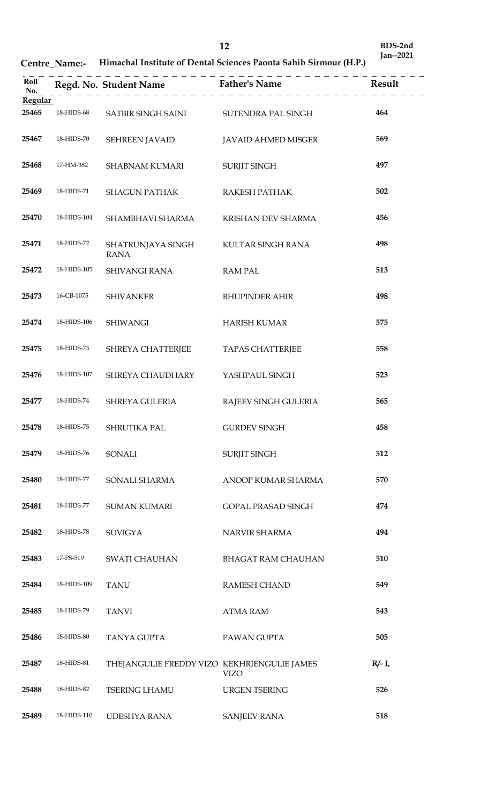| Roll<br>No.    |             |                                             |                            |           |
|----------------|-------------|---------------------------------------------|----------------------------|-----------|
| <b>Regular</b> |             |                                             |                            |           |
| 25465          | 18-HIDS-68  | SATBIR SINGH SAINI SUTENDRA PAL SINGH       |                            | 464       |
| 25467          | 18-HIDS-70  | <b>SEHREEN JAVAID</b>                       | <b>JAVAID AHMED MISGER</b> | 569       |
| 25468          | 17-HM-382   | <b>SHABNAM KUMARI</b>                       | <b>SURJIT SINGH</b>        | 497       |
| 25469          | 18-HIDS-71  | <b>SHAGUN PATHAK</b>                        | RAKESH PATHAK              | 502       |
| 25470          | 18-HIDS-104 | SHAMBHAVI SHARMA                            | KRISHAN DEV SHARMA         | 456       |
| 25471          | 18-HIDS-72  | SHATRUNJAYA SINGH<br><b>RANA</b>            | KULTAR SINGH RANA          | 498       |
| 25472          | 18-HIDS-105 | <b>SHIVANGI RANA</b>                        | <b>RAM PAL</b>             | 513       |
| 25473          | 16-CB-1075  | <b>SHIVANKER</b>                            | <b>BHUPINDER AHIR</b>      | 498       |
| 25474          | 18-HIDS-106 | <b>SHIWANGI</b>                             | <b>HARISH KUMAR</b>        | 575       |
| 25475          | 18-HIDS-73  | SHREYA CHATTERJEE                           | <b>TAPAS CHATTERJEE</b>    | 558       |
| 25476          | 18-HIDS-107 | SHREYA CHAUDHARY                            | YASHPAUL SINGH             | 523       |
| 25477          | 18-HIDS-74  | SHREYA GULERIA                              | RAJEEV SINGH GULERIA       | 565       |
| 25478          | 18-HIDS-75  | SHRUTIKA PAL                                | <b>GURDEV SINGH</b>        | 458       |
| 25479          | 18-HIDS-76  | SONALI                                      | <b>SURJIT SINGH</b>        | 512       |
| 25480          | 18-HIDS-77  | SONALI SHARMA                               | ANOOP KUMAR SHARMA         | 570       |
| 25481          | 18-HIDS-77  | <b>SUMAN KUMARI</b>                         | <b>GOPAL PRASAD SINGH</b>  | 474       |
| 25482          | 18-HIDS-78  | <b>SUVIGYA</b>                              | NARVIR SHARMA              | 494       |
| 25483          | 17-PS-519   | <b>SWATI CHAUHAN</b>                        | <b>BHAGAT RAM CHAUHAN</b>  | 510       |
| 25484          | 18-HIDS-109 | <b>TANU</b>                                 | <b>RAMESH CHAND</b>        | 549       |
| 25485          | 18-HIDS-79  | <b>TANVI</b>                                | <b>ATMA RAM</b>            | 543       |
| 25486          | 18-HIDS-80  | TANYA GUPTA                                 | PAWAN GUPTA                | 505       |
| 25487          | 18-HIDS-81  | THEJANGULIE FREDDY VIZO KEKHRIENGULIE JAMES | <b>VIZO</b>                | $R/- I$ , |
| 25488          | 18-HIDS-82  | <b>TSERING LHAMU</b>                        | <b>URGEN TSERING</b>       | 526       |
| 25489          | 18-HIDS-110 | UDESHYA RANA                                | <b>SANJEEV RANA</b>        | 518       |